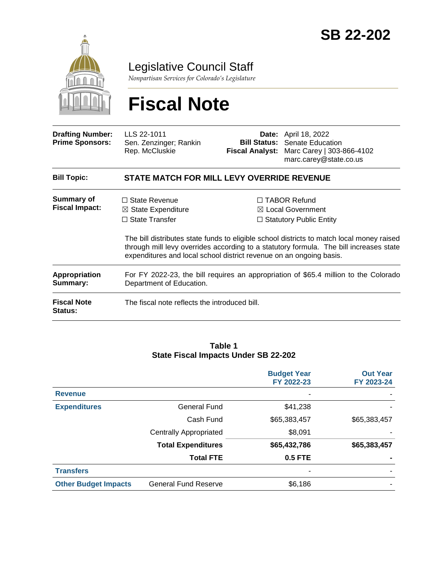

Legislative Council Staff

*Nonpartisan Services for Colorado's Legislature*

# **Fiscal Note**

| <b>Drafting Number:</b><br><b>Prime Sponsors:</b> | LLS 22-1011<br>Sen. Zenzinger; Rankin<br>Rep. McCluskie                                                                                                                                                                                                    |                                                                                       | <b>Date:</b> April 18, 2022<br><b>Bill Status: Senate Education</b><br>Fiscal Analyst: Marc Carey   303-866-4102<br>marc.carey@state.co.us |  |  |  |
|---------------------------------------------------|------------------------------------------------------------------------------------------------------------------------------------------------------------------------------------------------------------------------------------------------------------|---------------------------------------------------------------------------------------|--------------------------------------------------------------------------------------------------------------------------------------------|--|--|--|
| <b>Bill Topic:</b>                                | <b>STATE MATCH FOR MILL LEVY OVERRIDE REVENUE</b>                                                                                                                                                                                                          |                                                                                       |                                                                                                                                            |  |  |  |
| Summary of<br><b>Fiscal Impact:</b>               | $\Box$ State Revenue<br>$\boxtimes$ State Expenditure<br>$\Box$ State Transfer                                                                                                                                                                             | $\Box$ TABOR Refund<br>$\boxtimes$ Local Government<br>$\Box$ Statutory Public Entity |                                                                                                                                            |  |  |  |
|                                                   | The bill distributes state funds to eligible school districts to match local money raised<br>through mill levy overrides according to a statutory formula. The bill increases state<br>expenditures and local school district revenue on an ongoing basis. |                                                                                       |                                                                                                                                            |  |  |  |
| Appropriation<br>Summary:                         | For FY 2022-23, the bill requires an appropriation of \$65.4 million to the Colorado<br>Department of Education.                                                                                                                                           |                                                                                       |                                                                                                                                            |  |  |  |
| <b>Fiscal Note</b><br><b>Status:</b>              | The fiscal note reflects the introduced bill.                                                                                                                                                                                                              |                                                                                       |                                                                                                                                            |  |  |  |

#### **Table 1 State Fiscal Impacts Under SB 22-202**

|                             |                               | <b>Budget Year</b><br>FY 2022-23 | <b>Out Year</b><br>FY 2023-24 |
|-----------------------------|-------------------------------|----------------------------------|-------------------------------|
| <b>Revenue</b>              |                               |                                  |                               |
| <b>Expenditures</b>         | <b>General Fund</b>           | \$41,238                         |                               |
|                             | Cash Fund                     | \$65,383,457                     | \$65,383,457                  |
|                             | <b>Centrally Appropriated</b> | \$8,091                          |                               |
|                             | <b>Total Expenditures</b>     | \$65,432,786                     | \$65,383,457                  |
|                             | <b>Total FTE</b>              | 0.5 FTE                          |                               |
| <b>Transfers</b>            |                               |                                  |                               |
| <b>Other Budget Impacts</b> | <b>General Fund Reserve</b>   | \$6,186                          |                               |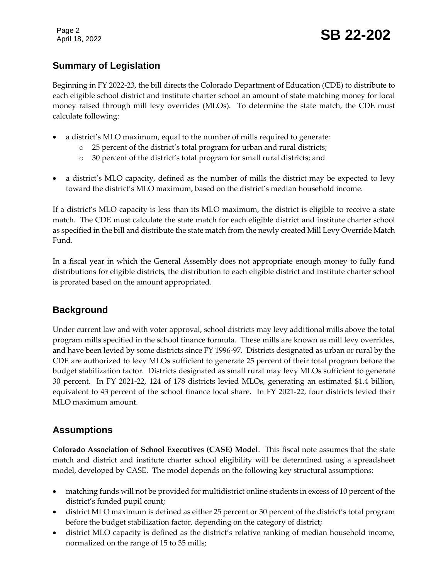Page 2

# Page 2<br>April 18, 2022 **SB 22-202**

# **Summary of Legislation**

Beginning in FY 2022-23, the bill directs the Colorado Department of Education (CDE) to distribute to each eligible school district and institute charter school an amount of state matching money for local money raised through mill levy overrides (MLOs). To determine the state match, the CDE must calculate following:

- a district's MLO maximum, equal to the number of mills required to generate:
	- o 25 percent of the district's total program for urban and rural districts;
	- o 30 percent of the district's total program for small rural districts; and
- a district's MLO capacity, defined as the number of mills the district may be expected to levy toward the district's MLO maximum, based on the district's median household income.

If a district's MLO capacity is less than its MLO maximum, the district is eligible to receive a state match. The CDE must calculate the state match for each eligible district and institute charter school as specified in the bill and distribute the state match from the newly created Mill Levy Override Match Fund.

In a fiscal year in which the General Assembly does not appropriate enough money to fully fund distributions for eligible districts, the distribution to each eligible district and institute charter school is prorated based on the amount appropriated.

# **Background**

Under current law and with voter approval, school districts may levy additional mills above the total program mills specified in the school finance formula. These mills are known as mill levy overrides, and have been levied by some districts since FY 1996-97. Districts designated as urban or rural by the CDE are authorized to levy MLOs sufficient to generate 25 percent of their total program before the budget stabilization factor. Districts designated as small rural may levy MLOs sufficient to generate 30 percent. In FY 2021-22, 124 of 178 districts levied MLOs, generating an estimated \$1.4 billion, equivalent to 43 percent of the school finance local share. In FY 2021-22, four districts levied their MLO maximum amount.

# **Assumptions**

**Colorado Association of School Executives (CASE) Model**. This fiscal note assumes that the state match and district and institute charter school eligibility will be determined using a spreadsheet model, developed by CASE. The model depends on the following key structural assumptions:

- matching funds will not be provided for multidistrict online students in excess of 10 percent of the district's funded pupil count;
- district MLO maximum is defined as either 25 percent or 30 percent of the district's total program before the budget stabilization factor, depending on the category of district;
- district MLO capacity is defined as the district's relative ranking of median household income, normalized on the range of 15 to 35 mills;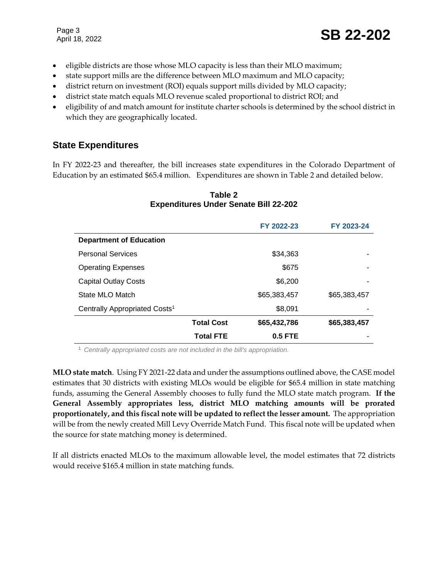Page 3

- eligible districts are those whose MLO capacity is less than their MLO maximum;
- state support mills are the difference between MLO maximum and MLO capacity;
- district return on investment (ROI) equals support mills divided by MLO capacity;
- district state match equals MLO revenue scaled proportional to district ROI; and
- eligibility of and match amount for institute charter schools is determined by the school district in which they are geographically located.

## **State Expenditures**

In FY 2022-23 and thereafter, the bill increases state expenditures in the Colorado Department of Education by an estimated \$65.4 million. Expenditures are shown in Table 2 and detailed below.

|                                           |                   | FY 2022-23   | FY 2023-24   |
|-------------------------------------------|-------------------|--------------|--------------|
| <b>Department of Education</b>            |                   |              |              |
| <b>Personal Services</b>                  |                   | \$34,363     |              |
| <b>Operating Expenses</b>                 |                   | \$675        |              |
| <b>Capital Outlay Costs</b>               |                   | \$6,200      |              |
| State MLO Match                           |                   | \$65,383,457 | \$65,383,457 |
| Centrally Appropriated Costs <sup>1</sup> |                   | \$8,091      |              |
|                                           | <b>Total Cost</b> | \$65,432,786 | \$65,383,457 |
|                                           | Total FTE         | $0.5$ FTE    |              |

#### **Table 2 Expenditures Under Senate Bill 22-202**

<sup>1</sup> *Centrally appropriated costs are not included in the bill's appropriation.*

**MLO state match**. Using FY 2021-22 data and under the assumptions outlined above, the CASE model estimates that 30 districts with existing MLOs would be eligible for \$65.4 million in state matching funds, assuming the General Assembly chooses to fully fund the MLO state match program. **If the General Assembly appropriates less, district MLO matching amounts will be prorated proportionately, and this fiscal note will be updated to reflect the lesser amount.** The appropriation will be from the newly created Mill Levy Override Match Fund. This fiscal note will be updated when the source for state matching money is determined.

If all districts enacted MLOs to the maximum allowable level, the model estimates that 72 districts would receive \$165.4 million in state matching funds.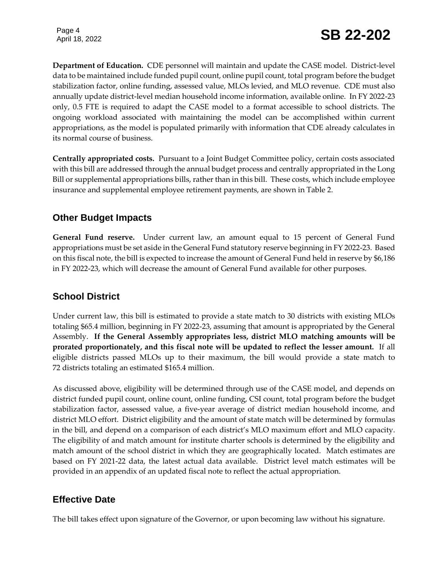**Department of Education.** CDE personnel will maintain and update the CASE model. District-level data to be maintained include funded pupil count, online pupil count, total program before the budget stabilization factor, online funding, assessed value, MLOs levied, and MLO revenue. CDE must also annually update district-level median household income information, available online. In FY 2022-23 only, 0.5 FTE is required to adapt the CASE model to a format accessible to school districts. The ongoing workload associated with maintaining the model can be accomplished within current appropriations, as the model is populated primarily with information that CDE already calculates in its normal course of business.

**Centrally appropriated costs.** Pursuant to a Joint Budget Committee policy, certain costs associated with this bill are addressed through the annual budget process and centrally appropriated in the Long Bill or supplemental appropriations bills, rather than in this bill. These costs, which include employee insurance and supplemental employee retirement payments, are shown in Table 2.

## **Other Budget Impacts**

**General Fund reserve.** Under current law, an amount equal to 15 percent of General Fund appropriations must be set aside in the General Fund statutory reserve beginning in FY 2022-23. Based on this fiscal note, the bill is expected to increase the amount of General Fund held in reserve by \$6,186 in FY 2022-23, which will decrease the amount of General Fund available for other purposes.

# **School District**

Under current law, this bill is estimated to provide a state match to 30 districts with existing MLOs totaling \$65.4 million, beginning in FY 2022-23, assuming that amount is appropriated by the General Assembly. **If the General Assembly appropriates less, district MLO matching amounts will be prorated proportionately, and this fiscal note will be updated to reflect the lesser amount.** If all eligible districts passed MLOs up to their maximum, the bill would provide a state match to 72 districts totaling an estimated \$165.4 million.

As discussed above, eligibility will be determined through use of the CASE model, and depends on district funded pupil count, online count, online funding, CSI count, total program before the budget stabilization factor, assessed value, a five-year average of district median household income, and district MLO effort. District eligibility and the amount of state match will be determined by formulas in the bill, and depend on a comparison of each district's MLO maximum effort and MLO capacity. The eligibility of and match amount for institute charter schools is determined by the eligibility and match amount of the school district in which they are geographically located. Match estimates are based on FY 2021-22 data, the latest actual data available. District level match estimates will be provided in an appendix of an updated fiscal note to reflect the actual appropriation.

# **Effective Date**

The bill takes effect upon signature of the Governor, or upon becoming law without his signature.